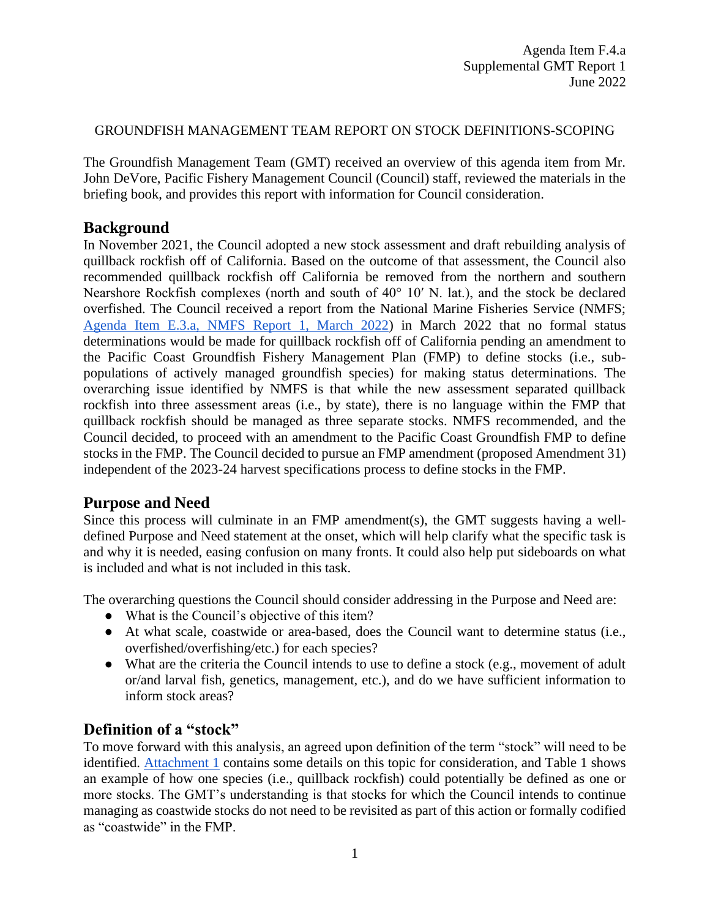#### GROUNDFISH MANAGEMENT TEAM REPORT ON STOCK DEFINITIONS-SCOPING

The Groundfish Management Team (GMT) received an overview of this agenda item from Mr. John DeVore, Pacific Fishery Management Council (Council) staff, reviewed the materials in the briefing book, and provides this report with information for Council consideration.

#### **Background**

In November 2021, the Council adopted a new stock assessment and draft rebuilding analysis of quillback rockfish off of California. Based on the outcome of that assessment, the Council also recommended quillback rockfish off California be removed from the northern and southern Nearshore Rockfish complexes (north and south of 40° 10′ N. lat.), and the stock be declared overfished. The Council received a report from the National Marine Fisheries Service (NMFS; [Agenda Item E.3.a, NMFS Report 1, March 2022\)](https://www.pcouncil.org/documents/2022/02/e-3-a-nmfs-report-1-defining-stocks-and-stock-complexes-in-the-groundfish-fmp.pdf/) in March 2022 that no formal status determinations would be made for quillback rockfish off of California pending an amendment to the Pacific Coast Groundfish Fishery Management Plan (FMP) to define stocks (i.e., subpopulations of actively managed groundfish species) for making status determinations. The overarching issue identified by NMFS is that while the new assessment separated quillback rockfish into three assessment areas (i.e., by state), there is no language within the FMP that quillback rockfish should be managed as three separate stocks. NMFS recommended, and the Council decided, to proceed with an amendment to the Pacific Coast Groundfish FMP to define stocks in the FMP. The Council decided to pursue an FMP amendment (proposed Amendment 31) independent of the 2023-24 harvest specifications process to define stocks in the FMP.

### **Purpose and Need**

Since this process will culminate in an FMP amendment(s), the GMT suggests having a welldefined Purpose and Need statement at the onset, which will help clarify what the specific task is and why it is needed, easing confusion on many fronts. It could also help put sideboards on what is included and what is not included in this task.

The overarching questions the Council should consider addressing in the Purpose and Need are:

- What is the Council's objective of this item?
- At what scale, coastwide or area-based, does the Council want to determine status (i.e., overfished/overfishing/etc.) for each species?
- What are the criteria the Council intends to use to define a stock (e.g., movement of adult or/and larval fish, genetics, management, etc.), and do we have sufficient information to inform stock areas?

### **Definition of a "stock"**

To move forward with this analysis, an agreed upon definition of the term "stock" will need to be identified. [Attachment 1](https://www.pcouncil.org/documents/2022/05/f-4-attachment-1-scoping-an-amendment-to-the-pacific-coast-groundfish-fishery-management-plan-to-define-stocks.pdf/) contains some details on this topic for consideration, and Table 1 shows an example of how one species (i.e., quillback rockfish) could potentially be defined as one or more stocks. The GMT's understanding is that stocks for which the Council intends to continue managing as coastwide stocks do not need to be revisited as part of this action or formally codified as "coastwide" in the FMP.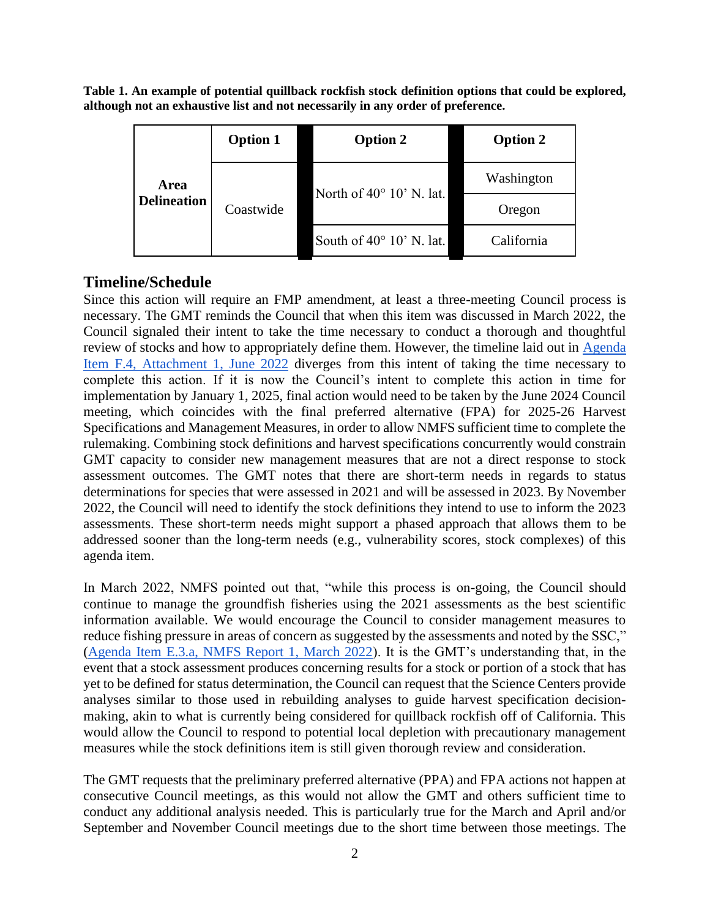**Table 1. An example of potential quillback rockfish stock definition options that could be explored, although not an exhaustive list and not necessarily in any order of preference.**

| Area<br><b>Delineation</b> | <b>Option 1</b> | <b>Option 2</b>                   | <b>Option 2</b> |
|----------------------------|-----------------|-----------------------------------|-----------------|
|                            | Coastwide       | North of $40^{\circ}$ 10' N. lat. | Washington      |
|                            |                 |                                   | Oregon          |
|                            |                 | South of $40^{\circ}$ 10' N. lat. | California      |

# **Timeline/Schedule**

Since this action will require an FMP amendment, at least a three-meeting Council process is necessary. The GMT reminds the Council that when this item was discussed in March 2022, the Council signaled their intent to take the time necessary to conduct a thorough and thoughtful review of stocks and how to appropriately define them. However, the timeline laid out in [Agenda](https://www.pcouncil.org/documents/2022/05/f-4-attachment-1-scoping-an-amendment-to-the-pacific-coast-groundfish-fishery-management-plan-to-define-stocks.pdf/)  [Item F.4, Attachment 1, June 2022](https://www.pcouncil.org/documents/2022/05/f-4-attachment-1-scoping-an-amendment-to-the-pacific-coast-groundfish-fishery-management-plan-to-define-stocks.pdf/) diverges from this intent of taking the time necessary to complete this action. If it is now the Council's intent to complete this action in time for implementation by January 1, 2025, final action would need to be taken by the June 2024 Council meeting, which coincides with the final preferred alternative (FPA) for 2025-26 Harvest Specifications and Management Measures, in order to allow NMFS sufficient time to complete the rulemaking. Combining stock definitions and harvest specifications concurrently would constrain GMT capacity to consider new management measures that are not a direct response to stock assessment outcomes. The GMT notes that there are short-term needs in regards to status determinations for species that were assessed in 2021 and will be assessed in 2023. By November 2022, the Council will need to identify the stock definitions they intend to use to inform the 2023 assessments. These short-term needs might support a phased approach that allows them to be addressed sooner than the long-term needs (e.g., vulnerability scores, stock complexes) of this agenda item.

In March 2022, NMFS pointed out that, "while this process is on-going, the Council should continue to manage the groundfish fisheries using the 2021 assessments as the best scientific information available. We would encourage the Council to consider management measures to reduce fishing pressure in areas of concern as suggested by the assessments and noted by the SSC," [\(Agenda Item E.3.a, NMFS Report 1, March 2022\)](https://www.pcouncil.org/documents/2022/02/e-3-a-nmfs-report-1-defining-stocks-and-stock-complexes-in-the-groundfish-fmp.pdf/). It is the GMT's understanding that, in the event that a stock assessment produces concerning results for a stock or portion of a stock that has yet to be defined for status determination, the Council can request that the Science Centers provide analyses similar to those used in rebuilding analyses to guide harvest specification decisionmaking, akin to what is currently being considered for quillback rockfish off of California. This would allow the Council to respond to potential local depletion with precautionary management measures while the stock definitions item is still given thorough review and consideration.

The GMT requests that the preliminary preferred alternative (PPA) and FPA actions not happen at consecutive Council meetings, as this would not allow the GMT and others sufficient time to conduct any additional analysis needed. This is particularly true for the March and April and/or September and November Council meetings due to the short time between those meetings. The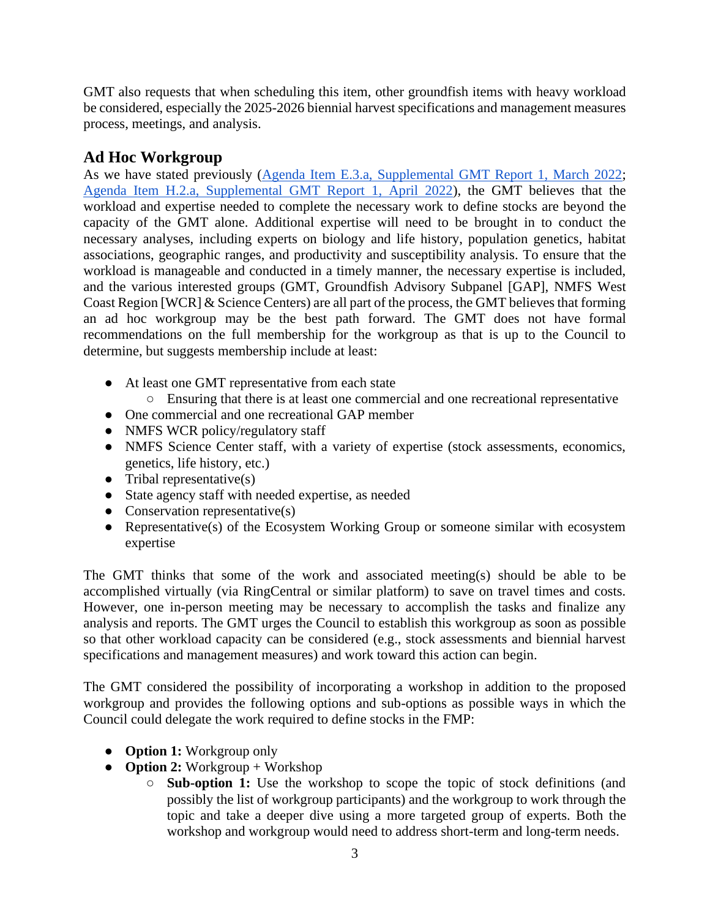GMT also requests that when scheduling this item, other groundfish items with heavy workload be considered, especially the 2025-2026 biennial harvest specifications and management measures process, meetings, and analysis.

# **Ad Hoc Workgroup**

As we have stated previously [\(Agenda Item E.3.a, Supplemental GMT Report 1, March 2022;](https://www.pcouncil.org/documents/2022/03/e-3-a-supplemental-gmt-report-1.pdf/) [Agenda Item H.2.a, Supplemental GMT Report 1, April 2022\)](https://www.pcouncil.org/documents/2022/04/h-2-a-supplemental-gmt-report-1-2.pdf/), the GMT believes that the workload and expertise needed to complete the necessary work to define stocks are beyond the capacity of the GMT alone. Additional expertise will need to be brought in to conduct the necessary analyses, including experts on biology and life history, population genetics, habitat associations, geographic ranges, and productivity and susceptibility analysis. To ensure that the workload is manageable and conducted in a timely manner, the necessary expertise is included, and the various interested groups (GMT, Groundfish Advisory Subpanel [GAP], NMFS West Coast Region [WCR] & Science Centers) are all part of the process, the GMT believes that forming an ad hoc workgroup may be the best path forward. The GMT does not have formal recommendations on the full membership for the workgroup as that is up to the Council to determine, but suggests membership include at least:

- At least one GMT representative from each state
- Ensuring that there is at least one commercial and one recreational representative
- One commercial and one recreational GAP member
- NMFS WCR policy/regulatory staff
- NMFS Science Center staff, with a variety of expertise (stock assessments, economics, genetics, life history, etc.)
- Tribal representative $(s)$
- State agency staff with needed expertise, as needed
- $\bullet$  Conservation representative(s)
- Representative(s) of the Ecosystem Working Group or someone similar with ecosystem expertise

The GMT thinks that some of the work and associated meeting(s) should be able to be accomplished virtually (via RingCentral or similar platform) to save on travel times and costs. However, one in-person meeting may be necessary to accomplish the tasks and finalize any analysis and reports. The GMT urges the Council to establish this workgroup as soon as possible so that other workload capacity can be considered (e.g., stock assessments and biennial harvest specifications and management measures) and work toward this action can begin.

The GMT considered the possibility of incorporating a workshop in addition to the proposed workgroup and provides the following options and sub-options as possible ways in which the Council could delegate the work required to define stocks in the FMP:

- **Option 1:** Workgroup only
- **Option 2:** Workgroup + Workshop
	- **Sub-option 1:** Use the workshop to scope the topic of stock definitions (and possibly the list of workgroup participants) and the workgroup to work through the topic and take a deeper dive using a more targeted group of experts. Both the workshop and workgroup would need to address short-term and long-term needs.